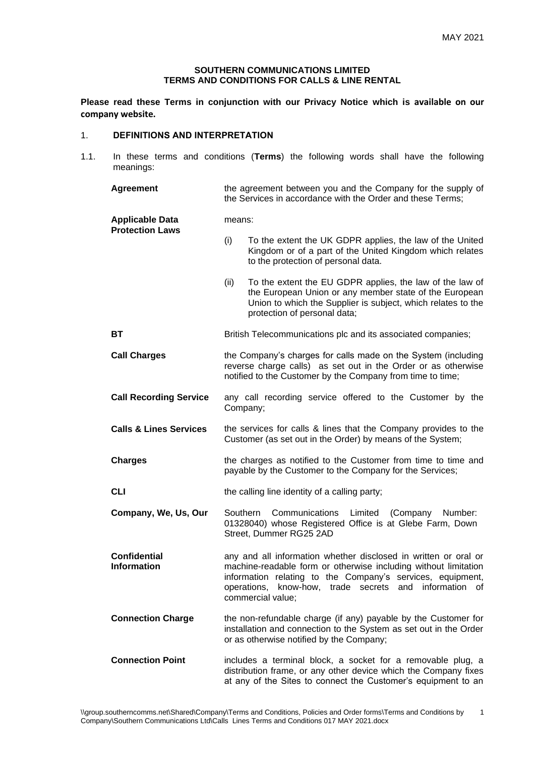## **SOUTHERN COMMUNICATIONS LIMITED TERMS AND CONDITIONS FOR CALLS & LINE RENTAL**

**Please read these Terms in conjunction with our Privacy Notice which is available on our company website.**

# 1. **DEFINITIONS AND INTERPRETATION**

1.1. In these terms and conditions (**Terms**) the following words shall have the following meanings:

| <b>Agreement</b>                                 | the agreement between you and the Company for the supply of<br>the Services in accordance with the Order and these Terms;                                                                                                                                                       |
|--------------------------------------------------|---------------------------------------------------------------------------------------------------------------------------------------------------------------------------------------------------------------------------------------------------------------------------------|
| <b>Applicable Data</b><br><b>Protection Laws</b> | means:                                                                                                                                                                                                                                                                          |
|                                                  | To the extent the UK GDPR applies, the law of the United<br>(i)<br>Kingdom or of a part of the United Kingdom which relates<br>to the protection of personal data.                                                                                                              |
|                                                  | To the extent the EU GDPR applies, the law of the law of<br>(ii)<br>the European Union or any member state of the European<br>Union to which the Supplier is subject, which relates to the<br>protection of personal data;                                                      |
| ВT                                               | British Telecommunications plc and its associated companies;                                                                                                                                                                                                                    |
| <b>Call Charges</b>                              | the Company's charges for calls made on the System (including<br>reverse charge calls) as set out in the Order or as otherwise<br>notified to the Customer by the Company from time to time;                                                                                    |
| <b>Call Recording Service</b>                    | any call recording service offered to the Customer by the<br>Company;                                                                                                                                                                                                           |
| <b>Calls &amp; Lines Services</b>                | the services for calls & lines that the Company provides to the<br>Customer (as set out in the Order) by means of the System;                                                                                                                                                   |
| <b>Charges</b>                                   | the charges as notified to the Customer from time to time and<br>payable by the Customer to the Company for the Services;                                                                                                                                                       |
| <b>CLI</b>                                       | the calling line identity of a calling party;                                                                                                                                                                                                                                   |
| Company, We, Us, Our                             | Communications<br>Southern<br>Limited<br>(Company<br>Number:<br>01328040) whose Registered Office is at Glebe Farm, Down<br>Street, Dummer RG25 2AD                                                                                                                             |
| <b>Confidential</b><br><b>Information</b>        | any and all information whether disclosed in written or oral or<br>machine-readable form or otherwise including without limitation<br>information relating to the Company's services, equipment,<br>operations, know-how, trade secrets and information of<br>commercial value; |
| <b>Connection Charge</b>                         | the non-refundable charge (if any) payable by the Customer for<br>installation and connection to the System as set out in the Order<br>or as otherwise notified by the Company;                                                                                                 |
| <b>Connection Point</b>                          | includes a terminal block, a socket for a removable plug, a<br>distribution frame, or any other device which the Company fixes<br>at any of the Sites to connect the Customer's equipment to an                                                                                 |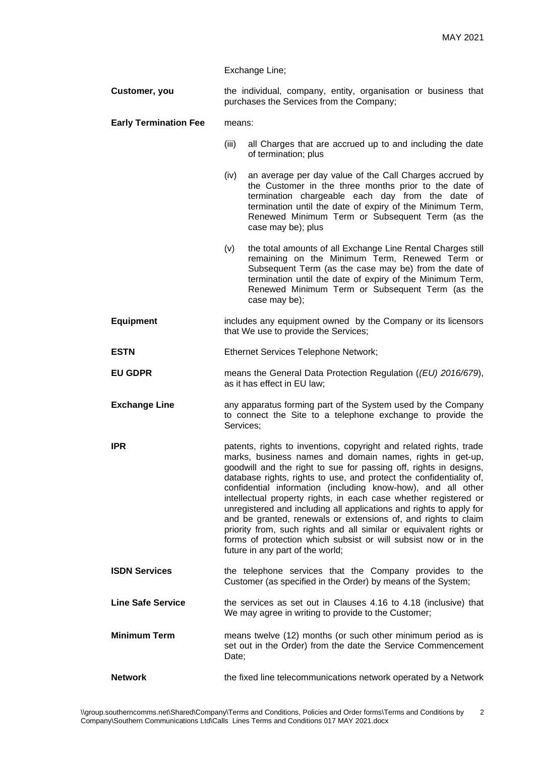Exchange Line;

**Customer, you** the individual, company, entity, organisation or business that purchases the Services from the Company;

## **Early Termination Fee** means:

- (iii) all Charges that are accrued up to and including the date of termination; plus
- (iv) an average per day value of the Call Charges accrued by the Customer in the three months prior to the date of termination chargeable each day from the date of termination until the date of expiry of the Minimum Term, Renewed Minimum Term or Subsequent Term (as the case may be); plus
- (v) the total amounts of all Exchange Line Rental Charges still remaining on the Minimum Term, Renewed Term or Subsequent Term (as the case may be) from the date of termination until the date of expiry of the Minimum Term, Renewed Minimum Term or Subsequent Term (as the case may be);
- **Equipment** includes any equipment owned by the Company or its licensors that We use to provide the Services;
- **ESTN** Ethernet Services Telephone Network;
- **EU GDPR** means the General Data Protection Regulation (*(EU) 2016/679*), as it has effect in EU law;
- **Exchange Line** any apparatus forming part of the System used by the Company to connect the Site to a telephone exchange to provide the Services;
- **IPR** patents, rights to inventions, copyright and related rights, trade marks, business names and domain names, rights in get-up, goodwill and the right to sue for passing off, rights in designs, database rights, rights to use, and protect the confidentiality of, confidential information (including know-how), and all other intellectual property rights, in each case whether registered or unregistered and including all applications and rights to apply for and be granted, renewals or extensions of, and rights to claim priority from, such rights and all similar or equivalent rights or forms of protection which subsist or will subsist now or in the future in any part of the world;
- **ISDN Services** the telephone services that the Company provides to the Customer (as specified in the Order) by means of the System;
- **Line Safe Service** the services as set out in Clauses 4.16 to 4.18 (inclusive) that We may agree in writing to provide to the Customer;
- **Minimum Term** means twelve (12) months (or such other minimum period as is set out in the Order) from the date the Service Commencement Date:
- **Network** the fixed line telecommunications network operated by a Network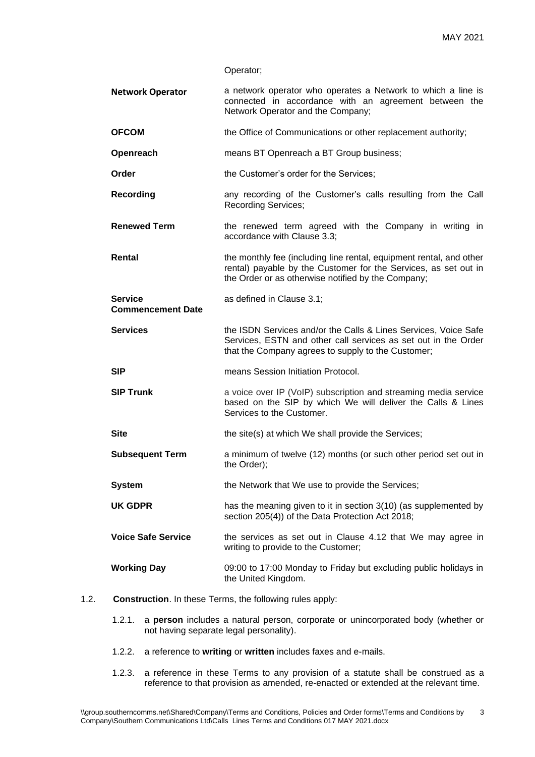| Operator; |  |
|-----------|--|
|-----------|--|

- **Network Operator** a network operator who operates a Network to which a line is connected in accordance with an agreement between the Network Operator and the Company;
- **OFCOM** the Office of Communications or other replacement authority;
- **Openreach** means BT Openreach a BT Group business;
- **Order** the Customer's order for the Services:
- **Recording any recording of the Customer's calls resulting from the Call** Recording Services;
- **Renewed Term** the renewed term agreed with the Company in writing in accordance with Clause 3.3;
- **Rental** the monthly fee (including line rental, equipment rental, and other rental) payable by the Customer for the Services, as set out in the Order or as otherwise notified by the Company;
- **Service Commencement Date** as defined in Clause 3.1;
- **Services** the ISDN Services and/or the Calls & Lines Services, Voice Safe Services, ESTN and other call services as set out in the Order that the Company agrees to supply to the Customer;
- **SIP** means Session Initiation Protocol.
- **SIP Trunk** a voice over IP (VoIP) subscription and streaming media service based on the SIP by which We will deliver the Calls & Lines Services to the Customer.
- **Site** the site(s) at which We shall provide the Services;
- **Subsequent Term** a minimum of twelve (12) months (or such other period set out in the Order);
- **System** the Network that We use to provide the Services;
- **UK GDPR** has the meaning given to it in section 3(10) (as supplemented by section 205(4)) of the Data Protection Act 2018;
- **Voice Safe Service** the services as set out in Clause 4.12 that We may agree in writing to provide to the Customer;

# **Working Day** 09:00 to 17:00 Monday to Friday but excluding public holidays in the United Kingdom.

- 1.2. **Construction**. In these Terms, the following rules apply:
	- 1.2.1. a **person** includes a natural person, corporate or unincorporated body (whether or not having separate legal personality).
	- 1.2.2. a reference to **writing** or **written** includes faxes and e-mails.
	- 1.2.3. a reference in these Terms to any provision of a statute shall be construed as a reference to that provision as amended, re-enacted or extended at the relevant time.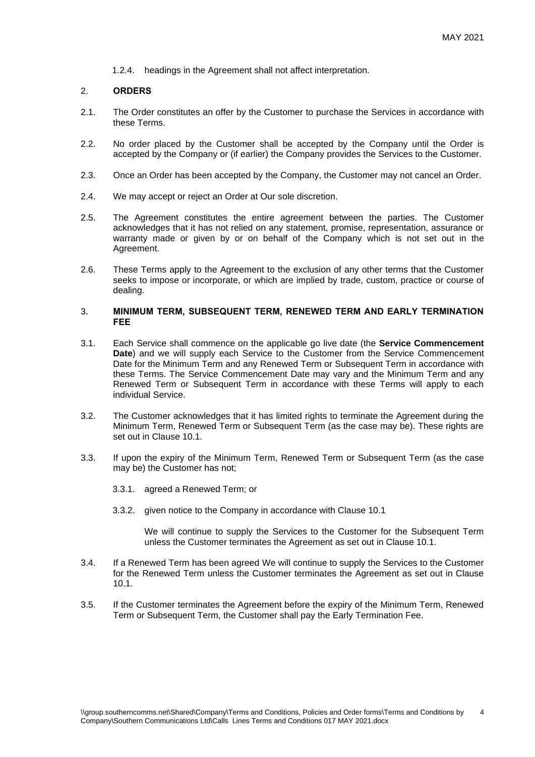1.2.4. headings in the Agreement shall not affect interpretation.

#### 2. **ORDERS**

- 2.1. The Order constitutes an offer by the Customer to purchase the Services in accordance with these Terms.
- 2.2. No order placed by the Customer shall be accepted by the Company until the Order is accepted by the Company or (if earlier) the Company provides the Services to the Customer.
- 2.3. Once an Order has been accepted by the Company, the Customer may not cancel an Order.
- 2.4. We may accept or reject an Order at Our sole discretion.
- 2.5. The Agreement constitutes the entire agreement between the parties. The Customer acknowledges that it has not relied on any statement, promise, representation, assurance or warranty made or given by or on behalf of the Company which is not set out in the Agreement.
- 2.6. These Terms apply to the Agreement to the exclusion of any other terms that the Customer seeks to impose or incorporate, or which are implied by trade, custom, practice or course of dealing.

### 3. **MINIMUM TERM, SUBSEQUENT TERM, RENEWED TERM AND EARLY TERMINATION FEE**

- 3.1. Each Service shall commence on the applicable go live date (the **Service Commencement Date**) and we will supply each Service to the Customer from the Service Commencement Date for the Minimum Term and any Renewed Term or Subsequent Term in accordance with these Terms. The Service Commencement Date may vary and the Minimum Term and any Renewed Term or Subsequent Term in accordance with these Terms will apply to each individual Service.
- 3.2. The Customer acknowledges that it has limited rights to terminate the Agreement during the Minimum Term, Renewed Term or Subsequent Term (as the case may be). These rights are set out in Clause 10.1.
- 3.3. If upon the expiry of the Minimum Term, Renewed Term or Subsequent Term (as the case may be) the Customer has not;
	- 3.3.1. agreed a Renewed Term; or
	- 3.3.2. given notice to the Company in accordance with Clause 10.1

We will continue to supply the Services to the Customer for the Subsequent Term unless the Customer terminates the Agreement as set out in Clause 10.1.

- 3.4. If a Renewed Term has been agreed We will continue to supply the Services to the Customer for the Renewed Term unless the Customer terminates the Agreement as set out in Clause 10.1.
- 3.5. If the Customer terminates the Agreement before the expiry of the Minimum Term, Renewed Term or Subsequent Term, the Customer shall pay the Early Termination Fee.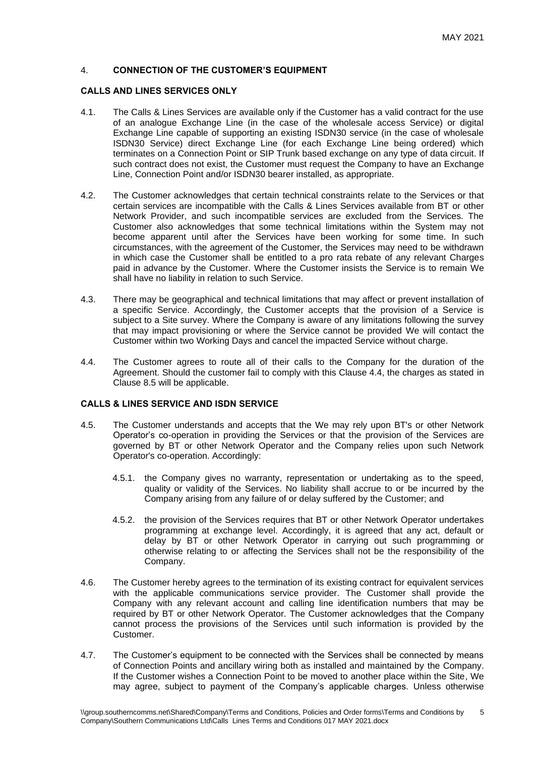# 4. **CONNECTION OF THE CUSTOMER'S EQUIPMENT**

## **CALLS AND LINES SERVICES ONLY**

- 4.1. The Calls & Lines Services are available only if the Customer has a valid contract for the use of an analogue Exchange Line (in the case of the wholesale access Service) or digital Exchange Line capable of supporting an existing ISDN30 service (in the case of wholesale ISDN30 Service) direct Exchange Line (for each Exchange Line being ordered) which terminates on a Connection Point or SIP Trunk based exchange on any type of data circuit. If such contract does not exist, the Customer must request the Company to have an Exchange Line, Connection Point and/or ISDN30 bearer installed, as appropriate.
- 4.2. The Customer acknowledges that certain technical constraints relate to the Services or that certain services are incompatible with the Calls & Lines Services available from BT or other Network Provider, and such incompatible services are excluded from the Services. The Customer also acknowledges that some technical limitations within the System may not become apparent until after the Services have been working for some time. In such circumstances, with the agreement of the Customer, the Services may need to be withdrawn in which case the Customer shall be entitled to a pro rata rebate of any relevant Charges paid in advance by the Customer. Where the Customer insists the Service is to remain We shall have no liability in relation to such Service.
- 4.3. There may be geographical and technical limitations that may affect or prevent installation of a specific Service. Accordingly, the Customer accepts that the provision of a Service is subject to a Site survey. Where the Company is aware of any limitations following the survey that may impact provisioning or where the Service cannot be provided We will contact the Customer within two Working Days and cancel the impacted Service without charge.
- 4.4. The Customer agrees to route all of their calls to the Company for the duration of the Agreement. Should the customer fail to comply with this Clause 4.4, the charges as stated in Clause 8.5 will be applicable.

# **CALLS & LINES SERVICE AND ISDN SERVICE**

- 4.5. The Customer understands and accepts that the We may rely upon BT's or other Network Operator's co-operation in providing the Services or that the provision of the Services are governed by BT or other Network Operator and the Company relies upon such Network Operator's co-operation. Accordingly:
	- 4.5.1. the Company gives no warranty, representation or undertaking as to the speed, quality or validity of the Services. No liability shall accrue to or be incurred by the Company arising from any failure of or delay suffered by the Customer; and
	- 4.5.2. the provision of the Services requires that BT or other Network Operator undertakes programming at exchange level. Accordingly, it is agreed that any act, default or delay by BT or other Network Operator in carrying out such programming or otherwise relating to or affecting the Services shall not be the responsibility of the Company.
- 4.6. The Customer hereby agrees to the termination of its existing contract for equivalent services with the applicable communications service provider. The Customer shall provide the Company with any relevant account and calling line identification numbers that may be required by BT or other Network Operator. The Customer acknowledges that the Company cannot process the provisions of the Services until such information is provided by the Customer.
- 4.7. The Customer's equipment to be connected with the Services shall be connected by means of Connection Points and ancillary wiring both as installed and maintained by the Company. If the Customer wishes a Connection Point to be moved to another place within the Site, We may agree, subject to payment of the Company's applicable charges. Unless otherwise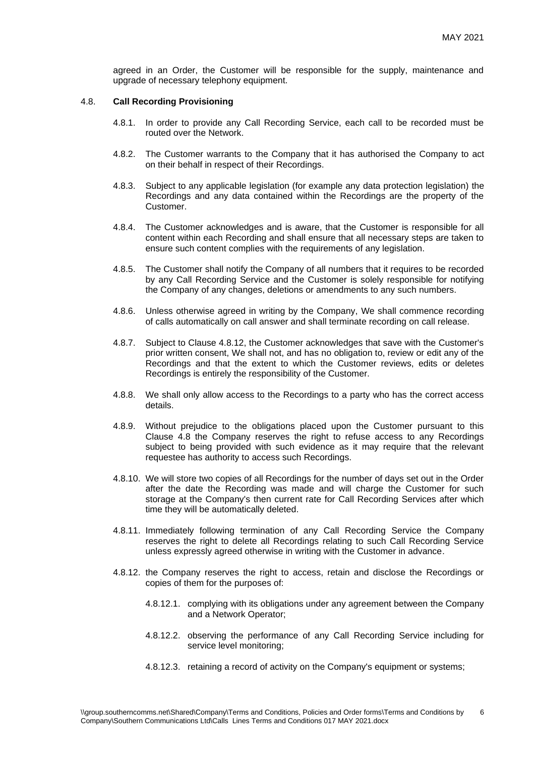agreed in an Order, the Customer will be responsible for the supply, maintenance and upgrade of necessary telephony equipment.

#### 4.8. **Call Recording Provisioning**

- 4.8.1. In order to provide any Call Recording Service, each call to be recorded must be routed over the Network.
- 4.8.2. The Customer warrants to the Company that it has authorised the Company to act on their behalf in respect of their Recordings.
- 4.8.3. Subject to any applicable legislation (for example any data protection legislation) the Recordings and any data contained within the Recordings are the property of the Customer.
- 4.8.4. The Customer acknowledges and is aware, that the Customer is responsible for all content within each Recording and shall ensure that all necessary steps are taken to ensure such content complies with the requirements of any legislation.
- 4.8.5. The Customer shall notify the Company of all numbers that it requires to be recorded by any Call Recording Service and the Customer is solely responsible for notifying the Company of any changes, deletions or amendments to any such numbers.
- 4.8.6. Unless otherwise agreed in writing by the Company, We shall commence recording of calls automatically on call answer and shall terminate recording on call release.
- 4.8.7. Subject to Clause 4.8.12, the Customer acknowledges that save with the Customer's prior written consent, We shall not, and has no obligation to, review or edit any of the Recordings and that the extent to which the Customer reviews, edits or deletes Recordings is entirely the responsibility of the Customer.
- 4.8.8. We shall only allow access to the Recordings to a party who has the correct access details.
- 4.8.9. Without prejudice to the obligations placed upon the Customer pursuant to this Clause 4.8 the Company reserves the right to refuse access to any Recordings subject to being provided with such evidence as it may require that the relevant requestee has authority to access such Recordings.
- 4.8.10. We will store two copies of all Recordings for the number of days set out in the Order after the date the Recording was made and will charge the Customer for such storage at the Company's then current rate for Call Recording Services after which time they will be automatically deleted.
- 4.8.11. Immediately following termination of any Call Recording Service the Company reserves the right to delete all Recordings relating to such Call Recording Service unless expressly agreed otherwise in writing with the Customer in advance.
- 4.8.12. the Company reserves the right to access, retain and disclose the Recordings or copies of them for the purposes of:
	- 4.8.12.1. complying with its obligations under any agreement between the Company and a Network Operator;
	- 4.8.12.2. observing the performance of any Call Recording Service including for service level monitoring;
	- 4.8.12.3. retaining a record of activity on the Company's equipment or systems;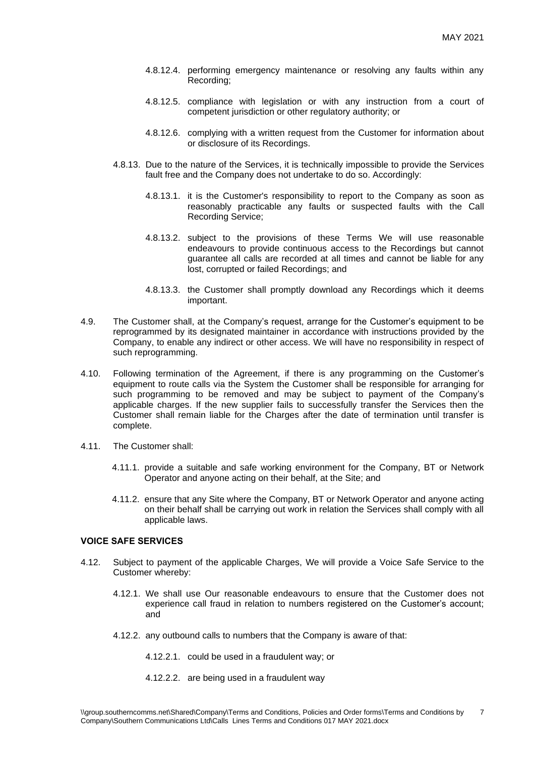- 4.8.12.4. performing emergency maintenance or resolving any faults within any Recording;
- 4.8.12.5. compliance with legislation or with any instruction from a court of competent jurisdiction or other regulatory authority; or
- 4.8.12.6. complying with a written request from the Customer for information about or disclosure of its Recordings.
- 4.8.13. Due to the nature of the Services, it is technically impossible to provide the Services fault free and the Company does not undertake to do so. Accordingly:
	- 4.8.13.1. it is the Customer's responsibility to report to the Company as soon as reasonably practicable any faults or suspected faults with the Call Recording Service;
	- 4.8.13.2. subject to the provisions of these Terms We will use reasonable endeavours to provide continuous access to the Recordings but cannot guarantee all calls are recorded at all times and cannot be liable for any lost, corrupted or failed Recordings; and
	- 4.8.13.3. the Customer shall promptly download any Recordings which it deems important.
- 4.9. The Customer shall, at the Company's request, arrange for the Customer's equipment to be reprogrammed by its designated maintainer in accordance with instructions provided by the Company, to enable any indirect or other access. We will have no responsibility in respect of such reprogramming.
- 4.10. Following termination of the Agreement, if there is any programming on the Customer's equipment to route calls via the System the Customer shall be responsible for arranging for such programming to be removed and may be subject to payment of the Company's applicable charges. If the new supplier fails to successfully transfer the Services then the Customer shall remain liable for the Charges after the date of termination until transfer is complete.
- 4.11. The Customer shall:
	- 4.11.1. provide a suitable and safe working environment for the Company, BT or Network Operator and anyone acting on their behalf, at the Site; and
	- 4.11.2. ensure that any Site where the Company, BT or Network Operator and anyone acting on their behalf shall be carrying out work in relation the Services shall comply with all applicable laws.

### **VOICE SAFE SERVICES**

- 4.12. Subject to payment of the applicable Charges, We will provide a Voice Safe Service to the Customer whereby:
	- 4.12.1. We shall use Our reasonable endeavours to ensure that the Customer does not experience call fraud in relation to numbers registered on the Customer's account; and
	- 4.12.2. any outbound calls to numbers that the Company is aware of that:
		- 4.12.2.1. could be used in a fraudulent way; or
		- 4.12.2.2. are being used in a fraudulent way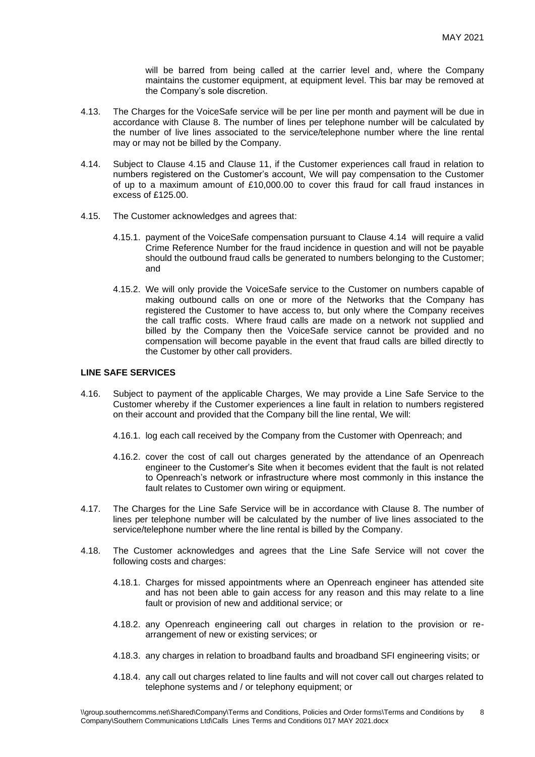will be barred from being called at the carrier level and, where the Company maintains the customer equipment, at equipment level. This bar may be removed at the Company's sole discretion.

- 4.13. The Charges for the VoiceSafe service will be per line per month and payment will be due in accordance with Clause 8. The number of lines per telephone number will be calculated by the number of live lines associated to the service/telephone number where the line rental may or may not be billed by the Company.
- 4.14. Subject to Clause 4.15 and Clause 11, if the Customer experiences call fraud in relation to numbers registered on the Customer's account, We will pay compensation to the Customer of up to a maximum amount of £10,000.00 to cover this fraud for call fraud instances in excess of £125.00.
- 4.15. The Customer acknowledges and agrees that:
	- 4.15.1. payment of the VoiceSafe compensation pursuant to Clause 4.14 will require a valid Crime Reference Number for the fraud incidence in question and will not be payable should the outbound fraud calls be generated to numbers belonging to the Customer; and
	- 4.15.2. We will only provide the VoiceSafe service to the Customer on numbers capable of making outbound calls on one or more of the Networks that the Company has registered the Customer to have access to, but only where the Company receives the call traffic costs. Where fraud calls are made on a network not supplied and billed by the Company then the VoiceSafe service cannot be provided and no compensation will become payable in the event that fraud calls are billed directly to the Customer by other call providers.

# **LINE SAFE SERVICES**

- 4.16. Subject to payment of the applicable Charges, We may provide a Line Safe Service to the Customer whereby if the Customer experiences a line fault in relation to numbers registered on their account and provided that the Company bill the line rental, We will:
	- 4.16.1. log each call received by the Company from the Customer with Openreach; and
	- 4.16.2. cover the cost of call out charges generated by the attendance of an Openreach engineer to the Customer's Site when it becomes evident that the fault is not related to Openreach's network or infrastructure where most commonly in this instance the fault relates to Customer own wiring or equipment.
- 4.17. The Charges for the Line Safe Service will be in accordance with Clause 8. The number of lines per telephone number will be calculated by the number of live lines associated to the service/telephone number where the line rental is billed by the Company.
- 4.18. The Customer acknowledges and agrees that the Line Safe Service will not cover the following costs and charges:
	- 4.18.1. Charges for missed appointments where an Openreach engineer has attended site and has not been able to gain access for any reason and this may relate to a line fault or provision of new and additional service; or
	- 4.18.2. any Openreach engineering call out charges in relation to the provision or rearrangement of new or existing services; or
	- 4.18.3. any charges in relation to broadband faults and broadband SFI engineering visits; or
	- 4.18.4. any call out charges related to line faults and will not cover call out charges related to telephone systems and / or telephony equipment; or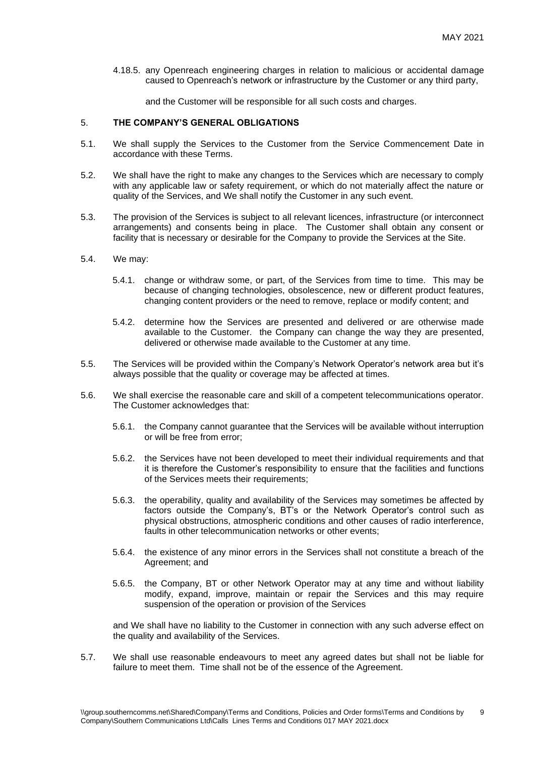4.18.5. any Openreach engineering charges in relation to malicious or accidental damage caused to Openreach's network or infrastructure by the Customer or any third party,

and the Customer will be responsible for all such costs and charges.

## 5. **THE COMPANY'S GENERAL OBLIGATIONS**

- 5.1. We shall supply the Services to the Customer from the Service Commencement Date in accordance with these Terms.
- 5.2. We shall have the right to make any changes to the Services which are necessary to comply with any applicable law or safety requirement, or which do not materially affect the nature or quality of the Services, and We shall notify the Customer in any such event.
- 5.3. The provision of the Services is subject to all relevant licences, infrastructure (or interconnect arrangements) and consents being in place. The Customer shall obtain any consent or facility that is necessary or desirable for the Company to provide the Services at the Site.
- 5.4. We may:
	- 5.4.1. change or withdraw some, or part, of the Services from time to time. This may be because of changing technologies, obsolescence, new or different product features, changing content providers or the need to remove, replace or modify content; and
	- 5.4.2. determine how the Services are presented and delivered or are otherwise made available to the Customer. the Company can change the way they are presented, delivered or otherwise made available to the Customer at any time.
- 5.5. The Services will be provided within the Company's Network Operator's network area but it's always possible that the quality or coverage may be affected at times.
- 5.6. We shall exercise the reasonable care and skill of a competent telecommunications operator. The Customer acknowledges that:
	- 5.6.1. the Company cannot guarantee that the Services will be available without interruption or will be free from error;
	- 5.6.2. the Services have not been developed to meet their individual requirements and that it is therefore the Customer's responsibility to ensure that the facilities and functions of the Services meets their requirements;
	- 5.6.3. the operability, quality and availability of the Services may sometimes be affected by factors outside the Company's, BT's or the Network Operator's control such as physical obstructions, atmospheric conditions and other causes of radio interference, faults in other telecommunication networks or other events;
	- 5.6.4. the existence of any minor errors in the Services shall not constitute a breach of the Agreement; and
	- 5.6.5. the Company, BT or other Network Operator may at any time and without liability modify, expand, improve, maintain or repair the Services and this may require suspension of the operation or provision of the Services

and We shall have no liability to the Customer in connection with any such adverse effect on the quality and availability of the Services.

5.7. We shall use reasonable endeavours to meet any agreed dates but shall not be liable for failure to meet them. Time shall not be of the essence of the Agreement.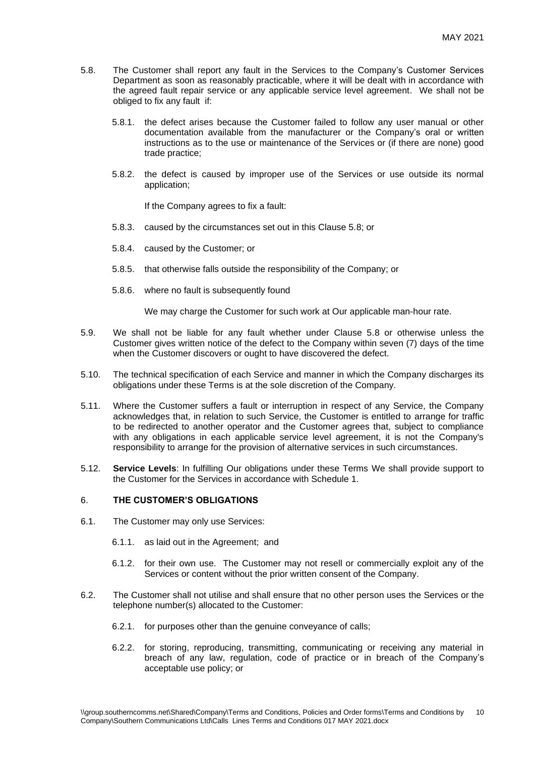- 5.8. The Customer shall report any fault in the Services to the Company's Customer Services Department as soon as reasonably practicable, where it will be dealt with in accordance with the agreed fault repair service or any applicable service level agreement. We shall not be obliged to fix any fault if:
	- 5.8.1. the defect arises because the Customer failed to follow any user manual or other documentation available from the manufacturer or the Company's oral or written instructions as to the use or maintenance of the Services or (if there are none) good trade practice;
	- 5.8.2. the defect is caused by improper use of the Services or use outside its normal application;

If the Company agrees to fix a fault:

- 5.8.3. caused by the circumstances set out in this Clause 5.8; or
- 5.8.4. caused by the Customer; or
- 5.8.5. that otherwise falls outside the responsibility of the Company; or
- 5.8.6. where no fault is subsequently found

We may charge the Customer for such work at Our applicable man-hour rate.

- 5.9. We shall not be liable for any fault whether under Clause 5.8 or otherwise unless the Customer gives written notice of the defect to the Company within seven (7) days of the time when the Customer discovers or ought to have discovered the defect.
- 5.10. The technical specification of each Service and manner in which the Company discharges its obligations under these Terms is at the sole discretion of the Company.
- 5.11. Where the Customer suffers a fault or interruption in respect of any Service, the Company acknowledges that, in relation to such Service, the Customer is entitled to arrange for traffic to be redirected to another operator and the Customer agrees that, subject to compliance with any obligations in each applicable service level agreement, it is not the Company's responsibility to arrange for the provision of alternative services in such circumstances.
- 5.12. **Service Levels**: In fulfilling Our obligations under these Terms We shall provide support to the Customer for the Services in accordance with Schedule 1.

# 6. **THE CUSTOMER'S OBLIGATIONS**

- 6.1. The Customer may only use Services:
	- 6.1.1. as laid out in the Agreement; and
	- 6.1.2. for their own use. The Customer may not resell or commercially exploit any of the Services or content without the prior written consent of the Company.
- 6.2. The Customer shall not utilise and shall ensure that no other person uses the Services or the telephone number(s) allocated to the Customer:
	- 6.2.1. for purposes other than the genuine conveyance of calls;
	- 6.2.2. for storing, reproducing, transmitting, communicating or receiving any material in breach of any law, regulation, code of practice or in breach of the Company's acceptable use policy; or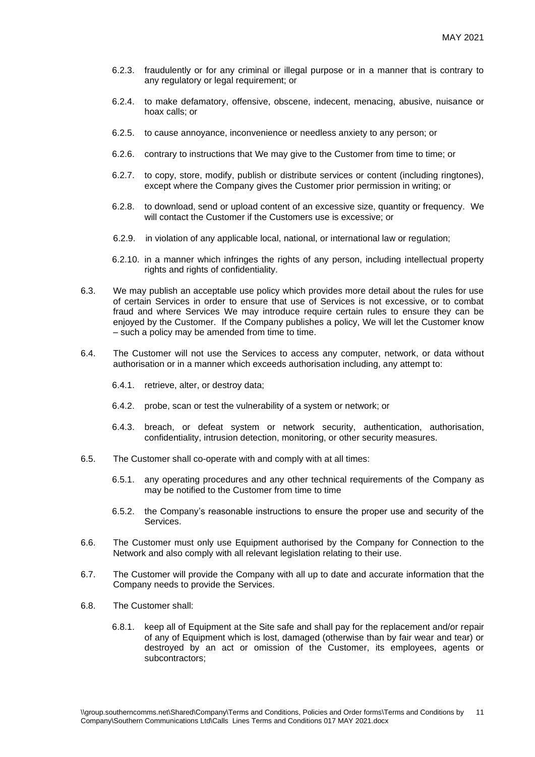- 6.2.3. fraudulently or for any criminal or illegal purpose or in a manner that is contrary to any regulatory or legal requirement; or
- 6.2.4. to make defamatory, offensive, obscene, indecent, menacing, abusive, nuisance or hoax calls; or
- 6.2.5. to cause annoyance, inconvenience or needless anxiety to any person; or
- 6.2.6. contrary to instructions that We may give to the Customer from time to time; or
- 6.2.7. to copy, store, modify, publish or distribute services or content (including ringtones), except where the Company gives the Customer prior permission in writing; or
- 6.2.8. to download, send or upload content of an excessive size, quantity or frequency. We will contact the Customer if the Customers use is excessive; or
- 6.2.9. in violation of any applicable local, national, or international law or regulation;
- 6.2.10. in a manner which infringes the rights of any person, including intellectual property rights and rights of confidentiality.
- 6.3. We may publish an acceptable use policy which provides more detail about the rules for use of certain Services in order to ensure that use of Services is not excessive, or to combat fraud and where Services We may introduce require certain rules to ensure they can be enjoyed by the Customer. If the Company publishes a policy, We will let the Customer know – such a policy may be amended from time to time.
- 6.4. The Customer will not use the Services to access any computer, network, or data without authorisation or in a manner which exceeds authorisation including, any attempt to:
	- 6.4.1. retrieve, alter, or destroy data;
	- 6.4.2. probe, scan or test the vulnerability of a system or network; or
	- 6.4.3. breach, or defeat system or network security, authentication, authorisation, confidentiality, intrusion detection, monitoring, or other security measures.
- 6.5. The Customer shall co-operate with and comply with at all times:
	- 6.5.1. any operating procedures and any other technical requirements of the Company as may be notified to the Customer from time to time
	- 6.5.2. the Company's reasonable instructions to ensure the proper use and security of the Services.
- 6.6. The Customer must only use Equipment authorised by the Company for Connection to the Network and also comply with all relevant legislation relating to their use.
- 6.7. The Customer will provide the Company with all up to date and accurate information that the Company needs to provide the Services.
- 6.8. The Customer shall:
	- 6.8.1. keep all of Equipment at the Site safe and shall pay for the replacement and/or repair of any of Equipment which is lost, damaged (otherwise than by fair wear and tear) or destroyed by an act or omission of the Customer, its employees, agents or subcontractors;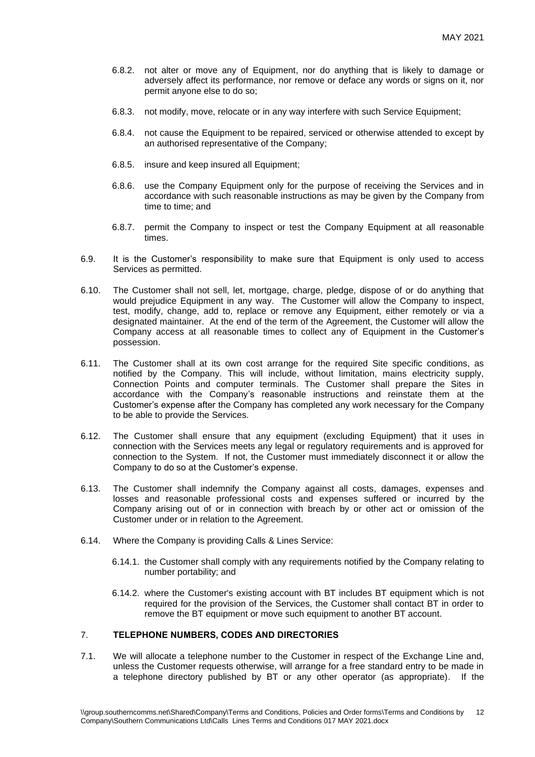- 6.8.2. not alter or move any of Equipment, nor do anything that is likely to damage or adversely affect its performance, nor remove or deface any words or signs on it, nor permit anyone else to do so;
- 6.8.3. not modify, move, relocate or in any way interfere with such Service Equipment;
- 6.8.4. not cause the Equipment to be repaired, serviced or otherwise attended to except by an authorised representative of the Company;
- 6.8.5. insure and keep insured all Equipment;
- 6.8.6. use the Company Equipment only for the purpose of receiving the Services and in accordance with such reasonable instructions as may be given by the Company from time to time; and
- 6.8.7. permit the Company to inspect or test the Company Equipment at all reasonable times.
- 6.9. It is the Customer's responsibility to make sure that Equipment is only used to access Services as permitted.
- 6.10. The Customer shall not sell, let, mortgage, charge, pledge, dispose of or do anything that would prejudice Equipment in any way. The Customer will allow the Company to inspect, test, modify, change, add to, replace or remove any Equipment, either remotely or via a designated maintainer. At the end of the term of the Agreement, the Customer will allow the Company access at all reasonable times to collect any of Equipment in the Customer's possession.
- 6.11. The Customer shall at its own cost arrange for the required Site specific conditions, as notified by the Company. This will include, without limitation, mains electricity supply, Connection Points and computer terminals. The Customer shall prepare the Sites in accordance with the Company's reasonable instructions and reinstate them at the Customer's expense after the Company has completed any work necessary for the Company to be able to provide the Services.
- 6.12. The Customer shall ensure that any equipment (excluding Equipment) that it uses in connection with the Services meets any legal or regulatory requirements and is approved for connection to the System. If not, the Customer must immediately disconnect it or allow the Company to do so at the Customer's expense.
- 6.13. The Customer shall indemnify the Company against all costs, damages, expenses and losses and reasonable professional costs and expenses suffered or incurred by the Company arising out of or in connection with breach by or other act or omission of the Customer under or in relation to the Agreement.
- 6.14. Where the Company is providing Calls & Lines Service:
	- 6.14.1. the Customer shall comply with any requirements notified by the Company relating to number portability; and
	- 6.14.2. where the Customer's existing account with BT includes BT equipment which is not required for the provision of the Services, the Customer shall contact BT in order to remove the BT equipment or move such equipment to another BT account.

# 7. **TELEPHONE NUMBERS, CODES AND DIRECTORIES**

7.1. We will allocate a telephone number to the Customer in respect of the Exchange Line and, unless the Customer requests otherwise, will arrange for a free standard entry to be made in a telephone directory published by BT or any other operator (as appropriate). If the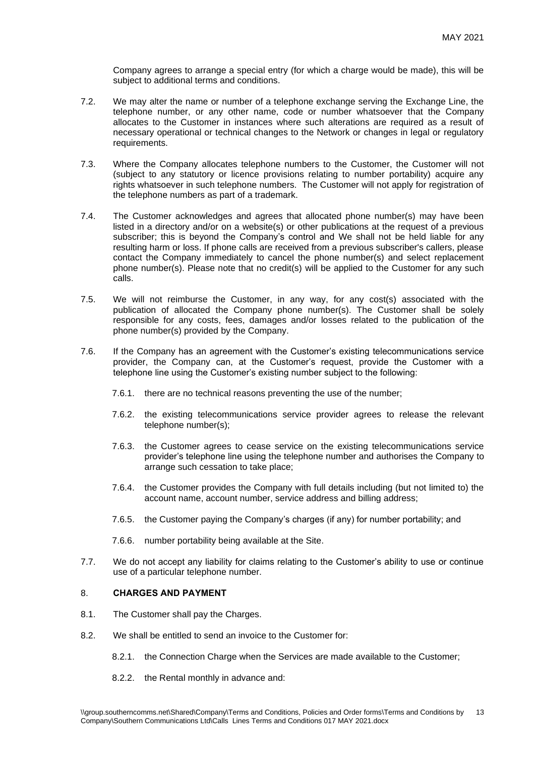Company agrees to arrange a special entry (for which a charge would be made), this will be subject to additional terms and conditions.

- 7.2. We may alter the name or number of a telephone exchange serving the Exchange Line, the telephone number, or any other name, code or number whatsoever that the Company allocates to the Customer in instances where such alterations are required as a result of necessary operational or technical changes to the Network or changes in legal or regulatory requirements.
- 7.3. Where the Company allocates telephone numbers to the Customer, the Customer will not (subject to any statutory or licence provisions relating to number portability) acquire any rights whatsoever in such telephone numbers. The Customer will not apply for registration of the telephone numbers as part of a trademark.
- 7.4. The Customer acknowledges and agrees that allocated phone number(s) may have been listed in a directory and/or on a website(s) or other publications at the request of a previous subscriber; this is beyond the Company's control and We shall not be held liable for any resulting harm or loss. If phone calls are received from a previous subscriber's callers, please contact the Company immediately to cancel the phone number(s) and select replacement phone number(s). Please note that no credit(s) will be applied to the Customer for any such calls.
- 7.5. We will not reimburse the Customer, in any way, for any cost(s) associated with the publication of allocated the Company phone number(s). The Customer shall be solely responsible for any costs, fees, damages and/or losses related to the publication of the phone number(s) provided by the Company.
- 7.6. If the Company has an agreement with the Customer's existing telecommunications service provider, the Company can, at the Customer's request, provide the Customer with a telephone line using the Customer's existing number subject to the following:
	- 7.6.1. there are no technical reasons preventing the use of the number;
	- 7.6.2. the existing telecommunications service provider agrees to release the relevant telephone number(s);
	- 7.6.3. the Customer agrees to cease service on the existing telecommunications service provider's telephone line using the telephone number and authorises the Company to arrange such cessation to take place;
	- 7.6.4. the Customer provides the Company with full details including (but not limited to) the account name, account number, service address and billing address;
	- 7.6.5. the Customer paying the Company's charges (if any) for number portability; and
	- 7.6.6. number portability being available at the Site.
- 7.7. We do not accept any liability for claims relating to the Customer's ability to use or continue use of a particular telephone number.

# 8. **CHARGES AND PAYMENT**

- 8.1. The Customer shall pay the Charges.
- 8.2. We shall be entitled to send an invoice to the Customer for:
	- 8.2.1. the Connection Charge when the Services are made available to the Customer;
	- 8.2.2. the Rental monthly in advance and: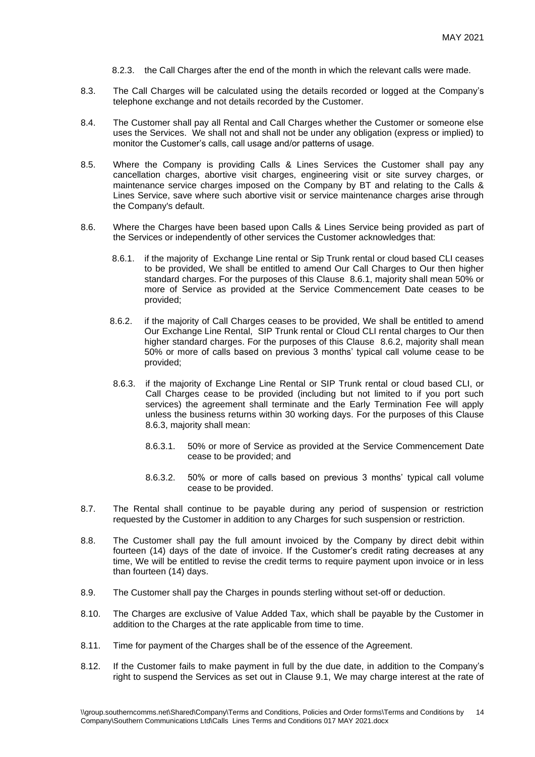- 8.2.3. the Call Charges after the end of the month in which the relevant calls were made.
- 8.3. The Call Charges will be calculated using the details recorded or logged at the Company's telephone exchange and not details recorded by the Customer.
- 8.4. The Customer shall pay all Rental and Call Charges whether the Customer or someone else uses the Services. We shall not and shall not be under any obligation (express or implied) to monitor the Customer's calls, call usage and/or patterns of usage.
- 8.5. Where the Company is providing Calls & Lines Services the Customer shall pay any cancellation charges, abortive visit charges, engineering visit or site survey charges, or maintenance service charges imposed on the Company by BT and relating to the Calls & Lines Service, save where such abortive visit or service maintenance charges arise through the Company's default.
- 8.6. Where the Charges have been based upon Calls & Lines Service being provided as part of the Services or independently of other services the Customer acknowledges that:
	- 8.6.1. if the majority of Exchange Line rental or Sip Trunk rental or cloud based CLI ceases to be provided, We shall be entitled to amend Our Call Charges to Our then higher standard charges. For the purposes of this Clause 8.6.1, majority shall mean 50% or more of Service as provided at the Service Commencement Date ceases to be provided;
	- 8.6.2. if the majority of Call Charges ceases to be provided, We shall be entitled to amend Our Exchange Line Rental, SIP Trunk rental or Cloud CLI rental charges to Our then higher standard charges. For the purposes of this Clause 8.6.2, majority shall mean 50% or more of calls based on previous 3 months' typical call volume cease to be provided;
	- 8.6.3. if the majority of Exchange Line Rental or SIP Trunk rental or cloud based CLI, or Call Charges cease to be provided (including but not limited to if you port such services) the agreement shall terminate and the Early Termination Fee will apply unless the business returns within 30 working days. For the purposes of this Clause 8.6.3, majority shall mean:
		- 8.6.3.1. 50% or more of Service as provided at the Service Commencement Date cease to be provided; and
		- 8.6.3.2. 50% or more of calls based on previous 3 months' typical call volume cease to be provided.
- 8.7. The Rental shall continue to be payable during any period of suspension or restriction requested by the Customer in addition to any Charges for such suspension or restriction.
- 8.8. The Customer shall pay the full amount invoiced by the Company by direct debit within fourteen (14) days of the date of invoice. If the Customer's credit rating decreases at any time, We will be entitled to revise the credit terms to require payment upon invoice or in less than fourteen (14) days.
- 8.9. The Customer shall pay the Charges in pounds sterling without set-off or deduction.
- 8.10. The Charges are exclusive of Value Added Tax, which shall be payable by the Customer in addition to the Charges at the rate applicable from time to time.
- 8.11. Time for payment of the Charges shall be of the essence of the Agreement.
- 8.12. If the Customer fails to make payment in full by the due date, in addition to the Company's right to suspend the Services as set out in Clause 9.1, We may charge interest at the rate of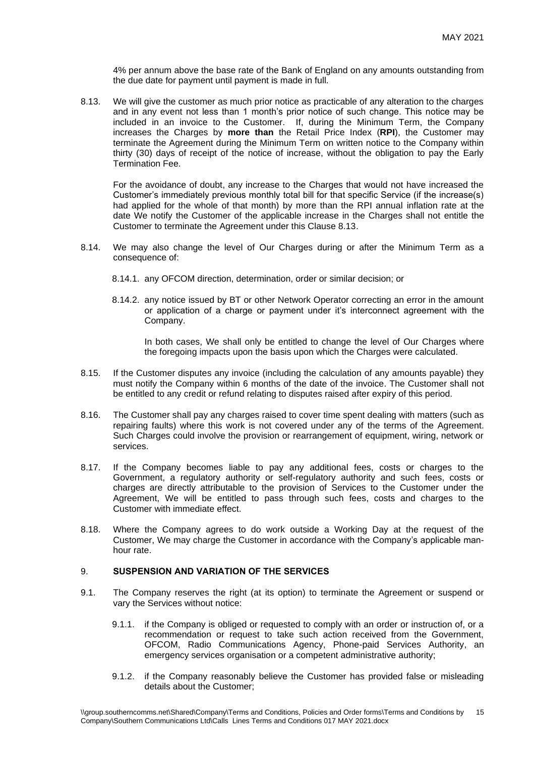4% per annum above the base rate of the Bank of England on any amounts outstanding from the due date for payment until payment is made in full.

8.13. We will give the customer as much prior notice as practicable of any alteration to the charges and in any event not less than 1 month's prior notice of such change. This notice may be included in an invoice to the Customer. If, during the Minimum Term, the Company increases the Charges by **more than** the Retail Price Index (**RPI**), the Customer may terminate the Agreement during the Minimum Term on written notice to the Company within thirty (30) days of receipt of the notice of increase, without the obligation to pay the Early Termination Fee.

For the avoidance of doubt, any increase to the Charges that would not have increased the Customer's immediately previous monthly total bill for that specific Service (if the increase(s) had applied for the whole of that month) by more than the RPI annual inflation rate at the date We notify the Customer of the applicable increase in the Charges shall not entitle the Customer to terminate the Agreement under this Clause 8.13.

- 8.14. We may also change the level of Our Charges during or after the Minimum Term as a consequence of:
	- 8.14.1. any OFCOM direction, determination, order or similar decision; or
	- 8.14.2. any notice issued by BT or other Network Operator correcting an error in the amount or application of a charge or payment under it's interconnect agreement with the Company.

In both cases, We shall only be entitled to change the level of Our Charges where the foregoing impacts upon the basis upon which the Charges were calculated.

- 8.15. If the Customer disputes any invoice (including the calculation of any amounts payable) they must notify the Company within 6 months of the date of the invoice. The Customer shall not be entitled to any credit or refund relating to disputes raised after expiry of this period.
- 8.16. The Customer shall pay any charges raised to cover time spent dealing with matters (such as repairing faults) where this work is not covered under any of the terms of the Agreement. Such Charges could involve the provision or rearrangement of equipment, wiring, network or services.
- 8.17. If the Company becomes liable to pay any additional fees, costs or charges to the Government, a regulatory authority or self-regulatory authority and such fees, costs or charges are directly attributable to the provision of Services to the Customer under the Agreement, We will be entitled to pass through such fees, costs and charges to the Customer with immediate effect.
- 8.18. Where the Company agrees to do work outside a Working Day at the request of the Customer, We may charge the Customer in accordance with the Company's applicable manhour rate.

### 9. **SUSPENSION AND VARIATION OF THE SERVICES**

- 9.1. The Company reserves the right (at its option) to terminate the Agreement or suspend or vary the Services without notice:
	- 9.1.1. if the Company is obliged or requested to comply with an order or instruction of, or a recommendation or request to take such action received from the Government, OFCOM, Radio Communications Agency, Phone-paid Services Authority, an emergency services organisation or a competent administrative authority;
	- 9.1.2. if the Company reasonably believe the Customer has provided false or misleading details about the Customer;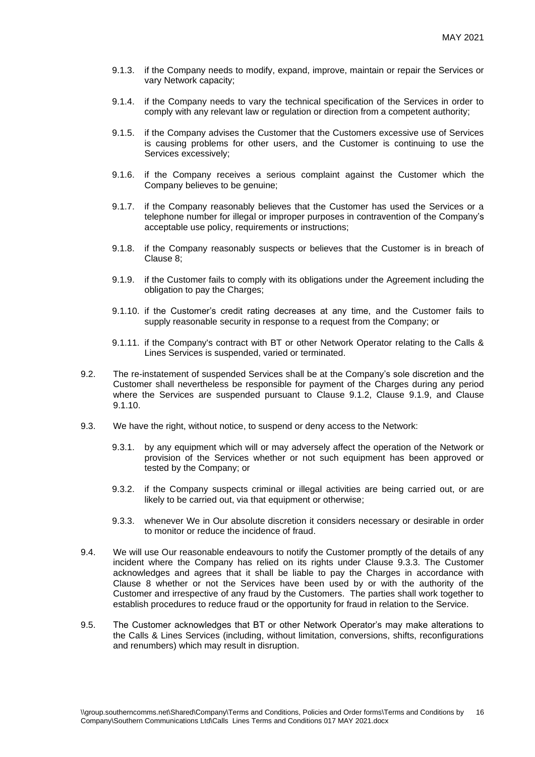- 9.1.3. if the Company needs to modify, expand, improve, maintain or repair the Services or vary Network capacity;
- 9.1.4. if the Company needs to vary the technical specification of the Services in order to comply with any relevant law or regulation or direction from a competent authority;
- 9.1.5. if the Company advises the Customer that the Customers excessive use of Services is causing problems for other users, and the Customer is continuing to use the Services excessively;
- 9.1.6. if the Company receives a serious complaint against the Customer which the Company believes to be genuine;
- 9.1.7. if the Company reasonably believes that the Customer has used the Services or a telephone number for illegal or improper purposes in contravention of the Company's acceptable use policy, requirements or instructions;
- 9.1.8. if the Company reasonably suspects or believes that the Customer is in breach of Clause 8;
- 9.1.9. if the Customer fails to comply with its obligations under the Agreement including the obligation to pay the Charges;
- 9.1.10. if the Customer's credit rating decreases at any time, and the Customer fails to supply reasonable security in response to a request from the Company; or
- 9.1.11. if the Company's contract with BT or other Network Operator relating to the Calls & Lines Services is suspended, varied or terminated.
- 9.2. The re-instatement of suspended Services shall be at the Company's sole discretion and the Customer shall nevertheless be responsible for payment of the Charges during any period where the Services are suspended pursuant to Clause 9.1.2, Clause 9.1.9, and Clause 9.1.10.
- 9.3. We have the right, without notice, to suspend or deny access to the Network:
	- 9.3.1. by any equipment which will or may adversely affect the operation of the Network or provision of the Services whether or not such equipment has been approved or tested by the Company; or
	- 9.3.2. if the Company suspects criminal or illegal activities are being carried out, or are likely to be carried out, via that equipment or otherwise;
	- 9.3.3. whenever We in Our absolute discretion it considers necessary or desirable in order to monitor or reduce the incidence of fraud.
- 9.4. We will use Our reasonable endeavours to notify the Customer promptly of the details of any incident where the Company has relied on its rights under Clause 9.3.3. The Customer acknowledges and agrees that it shall be liable to pay the Charges in accordance with Clause 8 whether or not the Services have been used by or with the authority of the Customer and irrespective of any fraud by the Customers. The parties shall work together to establish procedures to reduce fraud or the opportunity for fraud in relation to the Service.
- 9.5. The Customer acknowledges that BT or other Network Operator's may make alterations to the Calls & Lines Services (including, without limitation, conversions, shifts, reconfigurations and renumbers) which may result in disruption.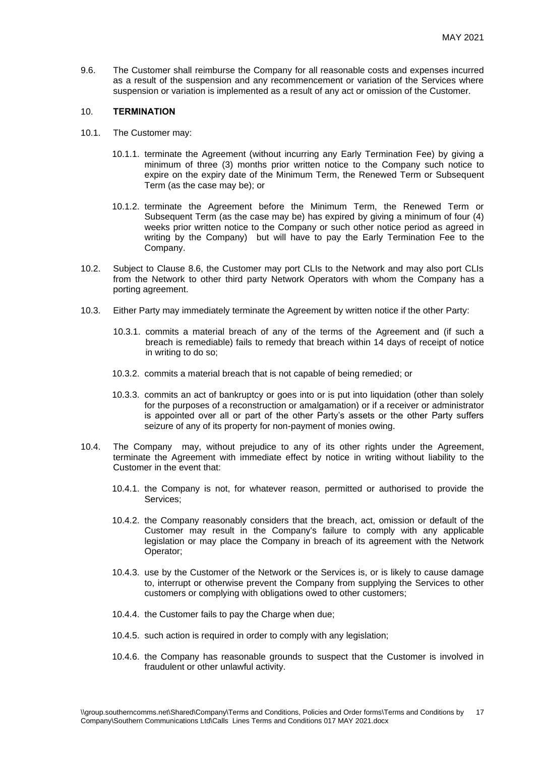9.6. The Customer shall reimburse the Company for all reasonable costs and expenses incurred as a result of the suspension and any recommencement or variation of the Services where suspension or variation is implemented as a result of any act or omission of the Customer.

#### 10. **TERMINATION**

- 10.1. The Customer may:
	- 10.1.1. terminate the Agreement (without incurring any Early Termination Fee) by giving a minimum of three (3) months prior written notice to the Company such notice to expire on the expiry date of the Minimum Term, the Renewed Term or Subsequent Term (as the case may be); or
	- 10.1.2. terminate the Agreement before the Minimum Term, the Renewed Term or Subsequent Term (as the case may be) has expired by giving a minimum of four (4) weeks prior written notice to the Company or such other notice period as agreed in writing by the Company) but will have to pay the Early Termination Fee to the Company.
- 10.2. Subject to Clause 8.6, the Customer may port CLIs to the Network and may also port CLIs from the Network to other third party Network Operators with whom the Company has a porting agreement.
- 10.3. Either Party may immediately terminate the Agreement by written notice if the other Party:
	- 10.3.1. commits a material breach of any of the terms of the Agreement and (if such a breach is remediable) fails to remedy that breach within 14 days of receipt of notice in writing to do so;
	- 10.3.2. commits a material breach that is not capable of being remedied; or
	- 10.3.3. commits an act of bankruptcy or goes into or is put into liquidation (other than solely for the purposes of a reconstruction or amalgamation) or if a receiver or administrator is appointed over all or part of the other Party's assets or the other Party suffers seizure of any of its property for non-payment of monies owing.
- 10.4. The Company may, without prejudice to any of its other rights under the Agreement, terminate the Agreement with immediate effect by notice in writing without liability to the Customer in the event that:
	- 10.4.1. the Company is not, for whatever reason, permitted or authorised to provide the Services;
	- 10.4.2. the Company reasonably considers that the breach, act, omission or default of the Customer may result in the Company's failure to comply with any applicable legislation or may place the Company in breach of its agreement with the Network Operator;
	- 10.4.3. use by the Customer of the Network or the Services is, or is likely to cause damage to, interrupt or otherwise prevent the Company from supplying the Services to other customers or complying with obligations owed to other customers;
	- 10.4.4. the Customer fails to pay the Charge when due;
	- 10.4.5. such action is required in order to comply with any legislation;
	- 10.4.6. the Company has reasonable grounds to suspect that the Customer is involved in fraudulent or other unlawful activity.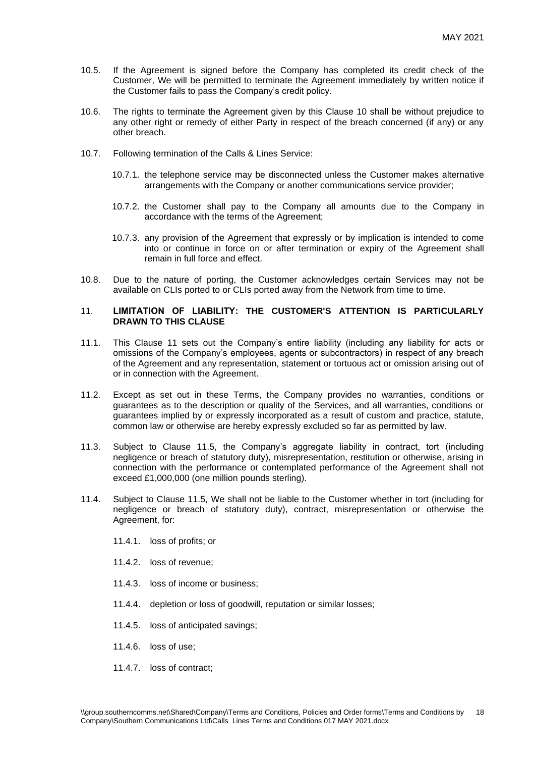- 10.5. If the Agreement is signed before the Company has completed its credit check of the Customer, We will be permitted to terminate the Agreement immediately by written notice if the Customer fails to pass the Company's credit policy.
- 10.6. The rights to terminate the Agreement given by this Clause 10 shall be without prejudice to any other right or remedy of either Party in respect of the breach concerned (if any) or any other breach.
- 10.7. Following termination of the Calls & Lines Service:
	- 10.7.1. the telephone service may be disconnected unless the Customer makes alternative arrangements with the Company or another communications service provider;
	- 10.7.2. the Customer shall pay to the Company all amounts due to the Company in accordance with the terms of the Agreement;
	- 10.7.3. any provision of the Agreement that expressly or by implication is intended to come into or continue in force on or after termination or expiry of the Agreement shall remain in full force and effect.
- 10.8. Due to the nature of porting, the Customer acknowledges certain Services may not be available on CLIs ported to or CLIs ported away from the Network from time to time.

## 11. **LIMITATION OF LIABILITY: THE CUSTOMER'S ATTENTION IS PARTICULARLY DRAWN TO THIS CLAUSE**

- 11.1. This Clause 11 sets out the Company's entire liability (including any liability for acts or omissions of the Company's employees, agents or subcontractors) in respect of any breach of the Agreement and any representation, statement or tortuous act or omission arising out of or in connection with the Agreement.
- 11.2. Except as set out in these Terms, the Company provides no warranties, conditions or guarantees as to the description or quality of the Services, and all warranties, conditions or guarantees implied by or expressly incorporated as a result of custom and practice, statute, common law or otherwise are hereby expressly excluded so far as permitted by law.
- 11.3. Subject to Clause 11.5, the Company's aggregate liability in contract, tort (including negligence or breach of statutory duty), misrepresentation, restitution or otherwise, arising in connection with the performance or contemplated performance of the Agreement shall not exceed £1,000,000 (one million pounds sterling).
- 11.4. Subject to Clause 11.5, We shall not be liable to the Customer whether in tort (including for negligence or breach of statutory duty), contract, misrepresentation or otherwise the Agreement, for:
	- 11.4.1. loss of profits; or
	- 11.4.2. loss of revenue;
	- 11.4.3. loss of income or business;
	- 11.4.4. depletion or loss of goodwill, reputation or similar losses;
	- 11.4.5. loss of anticipated savings;
	- 11.4.6. loss of use;
	- 11.4.7. loss of contract;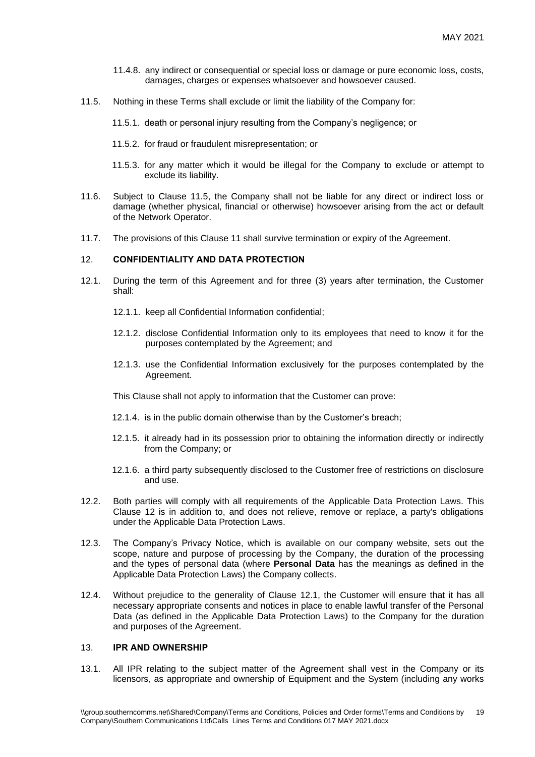- 11.4.8. any indirect or consequential or special loss or damage or pure economic loss, costs, damages, charges or expenses whatsoever and howsoever caused.
- 11.5. Nothing in these Terms shall exclude or limit the liability of the Company for:
	- 11.5.1. death or personal injury resulting from the Company's negligence; or
	- 11.5.2. for fraud or fraudulent misrepresentation; or
	- 11.5.3. for any matter which it would be illegal for the Company to exclude or attempt to exclude its liability.
- 11.6. Subject to Clause 11.5, the Company shall not be liable for any direct or indirect loss or damage (whether physical, financial or otherwise) howsoever arising from the act or default of the Network Operator.
- 11.7. The provisions of this Clause 11 shall survive termination or expiry of the Agreement.

## 12. **CONFIDENTIALITY AND DATA PROTECTION**

- <span id="page-18-0"></span>12.1. During the term of this Agreement and for three (3) years after termination, the Customer shall:
	- 12.1.1. keep all Confidential Information confidential;
	- 12.1.2. disclose Confidential Information only to its employees that need to know it for the purposes contemplated by the Agreement; and
	- 12.1.3. use the Confidential Information exclusively for the purposes contemplated by the Agreement.

This Clause shall not apply to information that the Customer can prove:

- 12.1.4. is in the public domain otherwise than by the Customer's breach;
- 12.1.5. it already had in its possession prior to obtaining the information directly or indirectly from the Company; or
- 12.1.6. a third party subsequently disclosed to the Customer free of restrictions on disclosure and use.
- 12.2. Both parties will comply with all requirements of the Applicable Data Protection Laws. This Clause 12 is in addition to, and does not relieve, remove or replace, a party's obligations under the Applicable Data Protection Laws.
- 12.3. The Company's Privacy Notice, which is available on our company website, sets out the scope, nature and purpose of processing by the Company, the duration of the processing and the types of personal data (where **Personal Data** has the meanings as defined in the Applicable Data Protection Laws) the Company collects.
- 12.4. Without prejudice to the generality of Clause [12.1,](#page-18-0) the Customer will ensure that it has all necessary appropriate consents and notices in place to enable lawful transfer of the Personal Data (as defined in the Applicable Data Protection Laws) to the Company for the duration and purposes of the Agreement.

## 13. **IPR AND OWNERSHIP**

13.1. All IPR relating to the subject matter of the Agreement shall vest in the Company or its licensors, as appropriate and ownership of Equipment and the System (including any works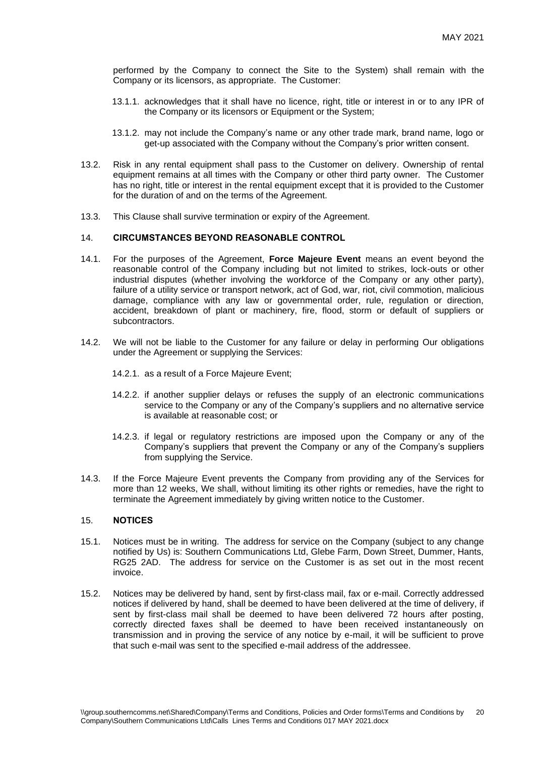performed by the Company to connect the Site to the System) shall remain with the Company or its licensors, as appropriate. The Customer:

- 13.1.1. acknowledges that it shall have no licence, right, title or interest in or to any IPR of the Company or its licensors or Equipment or the System;
- 13.1.2. may not include the Company's name or any other trade mark, brand name, logo or get-up associated with the Company without the Company's prior written consent.
- 13.2. Risk in any rental equipment shall pass to the Customer on delivery. Ownership of rental equipment remains at all times with the Company or other third party owner. The Customer has no right, title or interest in the rental equipment except that it is provided to the Customer for the duration of and on the terms of the Agreement.
- 13.3. This Clause shall survive termination or expiry of the Agreement.

#### 14. **CIRCUMSTANCES BEYOND REASONABLE CONTROL**

- 14.1. For the purposes of the Agreement, **Force Majeure Event** means an event beyond the reasonable control of the Company including but not limited to strikes, lock-outs or other industrial disputes (whether involving the workforce of the Company or any other party), failure of a utility service or transport network, act of God, war, riot, civil commotion, malicious damage, compliance with any law or governmental order, rule, regulation or direction, accident, breakdown of plant or machinery, fire, flood, storm or default of suppliers or subcontractors.
- 14.2. We will not be liable to the Customer for any failure or delay in performing Our obligations under the Agreement or supplying the Services:
	- 14.2.1. as a result of a Force Majeure Event;
	- 14.2.2. if another supplier delays or refuses the supply of an electronic communications service to the Company or any of the Company's suppliers and no alternative service is available at reasonable cost; or
	- 14.2.3. if legal or regulatory restrictions are imposed upon the Company or any of the Company's suppliers that prevent the Company or any of the Company's suppliers from supplying the Service.
- 14.3. If the Force Majeure Event prevents the Company from providing any of the Services for more than 12 weeks, We shall, without limiting its other rights or remedies, have the right to terminate the Agreement immediately by giving written notice to the Customer.

#### 15. **NOTICES**

- 15.1. Notices must be in writing. The address for service on the Company (subject to any change notified by Us) is: Southern Communications Ltd, Glebe Farm, Down Street, Dummer, Hants, RG25 2AD. The address for service on the Customer is as set out in the most recent invoice.
- 15.2. Notices may be delivered by hand, sent by first-class mail, fax or e-mail. Correctly addressed notices if delivered by hand, shall be deemed to have been delivered at the time of delivery, if sent by first-class mail shall be deemed to have been delivered 72 hours after posting, correctly directed faxes shall be deemed to have been received instantaneously on transmission and in proving the service of any notice by e-mail, it will be sufficient to prove that such e-mail was sent to the specified e-mail address of the addressee.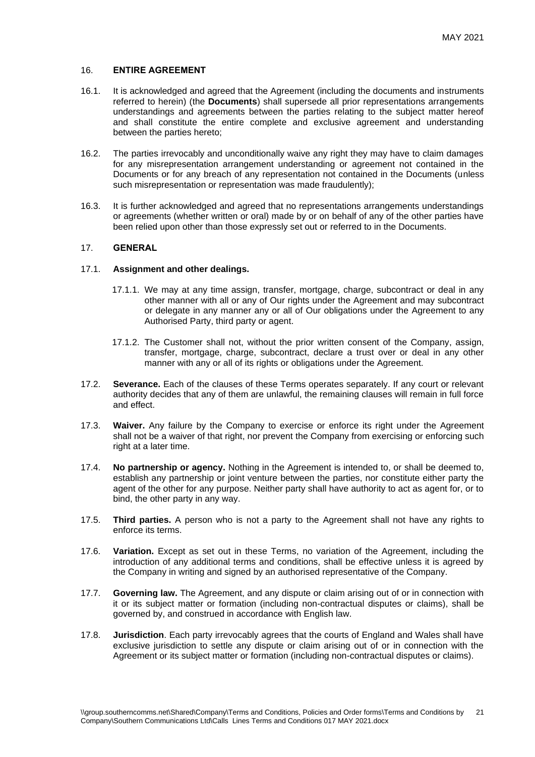## 16. **ENTIRE AGREEMENT**

- 16.1. It is acknowledged and agreed that the Agreement (including the documents and instruments referred to herein) (the **Documents**) shall supersede all prior representations arrangements understandings and agreements between the parties relating to the subject matter hereof and shall constitute the entire complete and exclusive agreement and understanding between the parties hereto;
- 16.2. The parties irrevocably and unconditionally waive any right they may have to claim damages for any misrepresentation arrangement understanding or agreement not contained in the Documents or for any breach of any representation not contained in the Documents (unless such misrepresentation or representation was made fraudulently);
- 16.3. It is further acknowledged and agreed that no representations arrangements understandings or agreements (whether written or oral) made by or on behalf of any of the other parties have been relied upon other than those expressly set out or referred to in the Documents.

### 17. **GENERAL**

## 17.1. **Assignment and other dealings.**

- 17.1.1. We may at any time assign, transfer, mortgage, charge, subcontract or deal in any other manner with all or any of Our rights under the Agreement and may subcontract or delegate in any manner any or all of Our obligations under the Agreement to any Authorised Party, third party or agent.
- 17.1.2. The Customer shall not, without the prior written consent of the Company, assign, transfer, mortgage, charge, subcontract, declare a trust over or deal in any other manner with any or all of its rights or obligations under the Agreement.
- 17.2. **Severance.** Each of the clauses of these Terms operates separately. If any court or relevant authority decides that any of them are unlawful, the remaining clauses will remain in full force and effect.
- 17.3. **Waiver.** Any failure by the Company to exercise or enforce its right under the Agreement shall not be a waiver of that right, nor prevent the Company from exercising or enforcing such right at a later time.
- 17.4. **No partnership or agency.** Nothing in the Agreement is intended to, or shall be deemed to, establish any partnership or joint venture between the parties, nor constitute either party the agent of the other for any purpose. Neither party shall have authority to act as agent for, or to bind, the other party in any way.
- 17.5. **Third parties.** A person who is not a party to the Agreement shall not have any rights to enforce its terms.
- 17.6. **Variation.** Except as set out in these Terms, no variation of the Agreement, including the introduction of any additional terms and conditions, shall be effective unless it is agreed by the Company in writing and signed by an authorised representative of the Company.
- 17.7. **Governing law.** The Agreement, and any dispute or claim arising out of or in connection with it or its subject matter or formation (including non-contractual disputes or claims), shall be governed by, and construed in accordance with English law.
- 17.8. **Jurisdiction**. Each party irrevocably agrees that the courts of England and Wales shall have exclusive jurisdiction to settle any dispute or claim arising out of or in connection with the Agreement or its subject matter or formation (including non-contractual disputes or claims).